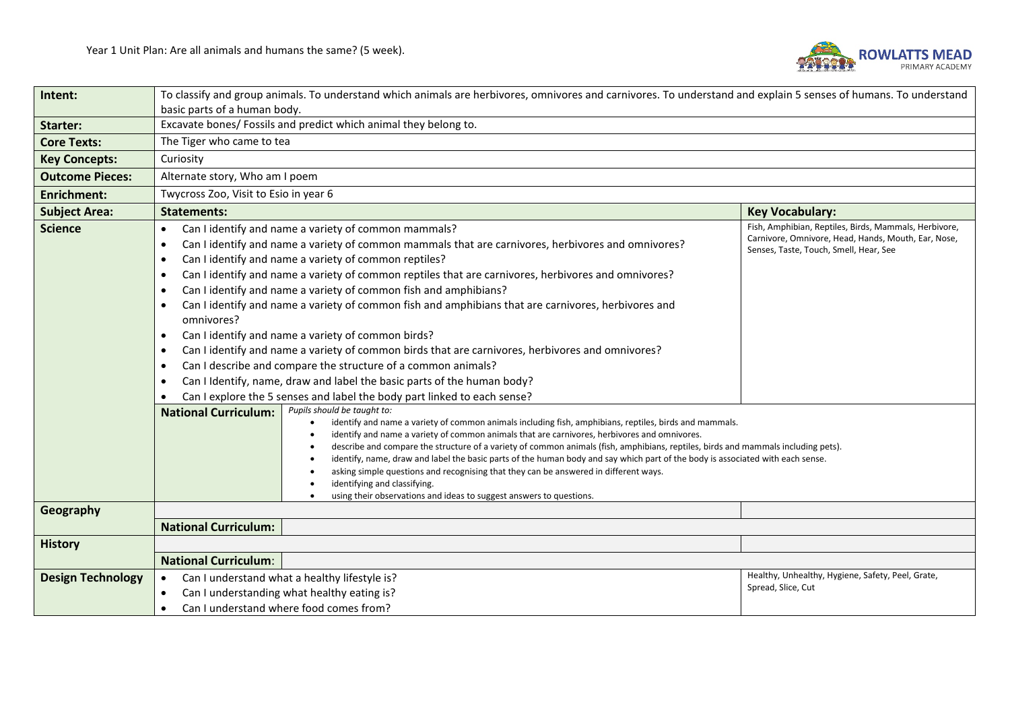

| Intent:                  | To classify and group animals. To understand which animals are herbivores, omnivores and carnivores. To understand and explain 5 senses of humans. To understand |                                                                                                                                                                                                                                                                                                                                                                                                                                                                                                                                                                                                                                                                                                                                                                                                                                                                                         |                                                                                                                                                        |  |  |  |  |
|--------------------------|------------------------------------------------------------------------------------------------------------------------------------------------------------------|-----------------------------------------------------------------------------------------------------------------------------------------------------------------------------------------------------------------------------------------------------------------------------------------------------------------------------------------------------------------------------------------------------------------------------------------------------------------------------------------------------------------------------------------------------------------------------------------------------------------------------------------------------------------------------------------------------------------------------------------------------------------------------------------------------------------------------------------------------------------------------------------|--------------------------------------------------------------------------------------------------------------------------------------------------------|--|--|--|--|
|                          | basic parts of a human body.                                                                                                                                     |                                                                                                                                                                                                                                                                                                                                                                                                                                                                                                                                                                                                                                                                                                                                                                                                                                                                                         |                                                                                                                                                        |  |  |  |  |
| <b>Starter:</b>          |                                                                                                                                                                  | Excavate bones/ Fossils and predict which animal they belong to.                                                                                                                                                                                                                                                                                                                                                                                                                                                                                                                                                                                                                                                                                                                                                                                                                        |                                                                                                                                                        |  |  |  |  |
| <b>Core Texts:</b>       | The Tiger who came to tea                                                                                                                                        |                                                                                                                                                                                                                                                                                                                                                                                                                                                                                                                                                                                                                                                                                                                                                                                                                                                                                         |                                                                                                                                                        |  |  |  |  |
| <b>Key Concepts:</b>     | Curiosity                                                                                                                                                        |                                                                                                                                                                                                                                                                                                                                                                                                                                                                                                                                                                                                                                                                                                                                                                                                                                                                                         |                                                                                                                                                        |  |  |  |  |
| <b>Outcome Pieces:</b>   | Alternate story, Who am I poem                                                                                                                                   |                                                                                                                                                                                                                                                                                                                                                                                                                                                                                                                                                                                                                                                                                                                                                                                                                                                                                         |                                                                                                                                                        |  |  |  |  |
| <b>Enrichment:</b>       | Twycross Zoo, Visit to Esio in year 6                                                                                                                            |                                                                                                                                                                                                                                                                                                                                                                                                                                                                                                                                                                                                                                                                                                                                                                                                                                                                                         |                                                                                                                                                        |  |  |  |  |
| <b>Subject Area:</b>     | <b>Statements:</b>                                                                                                                                               | <b>Key Vocabulary:</b>                                                                                                                                                                                                                                                                                                                                                                                                                                                                                                                                                                                                                                                                                                                                                                                                                                                                  |                                                                                                                                                        |  |  |  |  |
| <b>Science</b>           | $\bullet$<br>٠<br>$\bullet$<br>omnivores?<br>٠<br>$\bullet$<br>$\bullet$                                                                                         | Can I identify and name a variety of common mammals?<br>Can I identify and name a variety of common mammals that are carnivores, herbivores and omnivores?<br>Can I identify and name a variety of common reptiles?<br>Can I identify and name a variety of common reptiles that are carnivores, herbivores and omnivores?<br>Can I identify and name a variety of common fish and amphibians?<br>Can I identify and name a variety of common fish and amphibians that are carnivores, herbivores and<br>Can I identify and name a variety of common birds?<br>Can I identify and name a variety of common birds that are carnivores, herbivores and omnivores?<br>Can I describe and compare the structure of a common animals?<br>Can I Identify, name, draw and label the basic parts of the human body?<br>Can I explore the 5 senses and label the body part linked to each sense? | Fish, Amphibian, Reptiles, Birds, Mammals, Herbivore,<br>Carnivore, Omnivore, Head, Hands, Mouth, Ear, Nose,<br>Senses, Taste, Touch, Smell, Hear, See |  |  |  |  |
| Geography                | <b>National Curriculum:</b>                                                                                                                                      | Pupils should be taught to:<br>identify and name a variety of common animals including fish, amphibians, reptiles, birds and mammals.<br>identify and name a variety of common animals that are carnivores, herbivores and omnivores.<br>describe and compare the structure of a variety of common animals (fish, amphibians, reptiles, birds and mammals including pets).<br>identify, name, draw and label the basic parts of the human body and say which part of the body is associated with each sense.<br>asking simple questions and recognising that they can be answered in different ways.<br>identifying and classifying.<br>using their observations and ideas to suggest answers to questions.                                                                                                                                                                             |                                                                                                                                                        |  |  |  |  |
|                          | <b>National Curriculum:</b>                                                                                                                                      |                                                                                                                                                                                                                                                                                                                                                                                                                                                                                                                                                                                                                                                                                                                                                                                                                                                                                         |                                                                                                                                                        |  |  |  |  |
| <b>History</b>           |                                                                                                                                                                  |                                                                                                                                                                                                                                                                                                                                                                                                                                                                                                                                                                                                                                                                                                                                                                                                                                                                                         |                                                                                                                                                        |  |  |  |  |
|                          | <b>National Curriculum:</b>                                                                                                                                      |                                                                                                                                                                                                                                                                                                                                                                                                                                                                                                                                                                                                                                                                                                                                                                                                                                                                                         |                                                                                                                                                        |  |  |  |  |
| <b>Design Technology</b> | $\bullet$                                                                                                                                                        | Can I understand what a healthy lifestyle is?                                                                                                                                                                                                                                                                                                                                                                                                                                                                                                                                                                                                                                                                                                                                                                                                                                           | Healthy, Unhealthy, Hygiene, Safety, Peel, Grate,                                                                                                      |  |  |  |  |
|                          | Can I understanding what healthy eating is?<br>$\bullet$                                                                                                         | Spread, Slice, Cut                                                                                                                                                                                                                                                                                                                                                                                                                                                                                                                                                                                                                                                                                                                                                                                                                                                                      |                                                                                                                                                        |  |  |  |  |
|                          | Can I understand where food comes from?<br>$\bullet$                                                                                                             |                                                                                                                                                                                                                                                                                                                                                                                                                                                                                                                                                                                                                                                                                                                                                                                                                                                                                         |                                                                                                                                                        |  |  |  |  |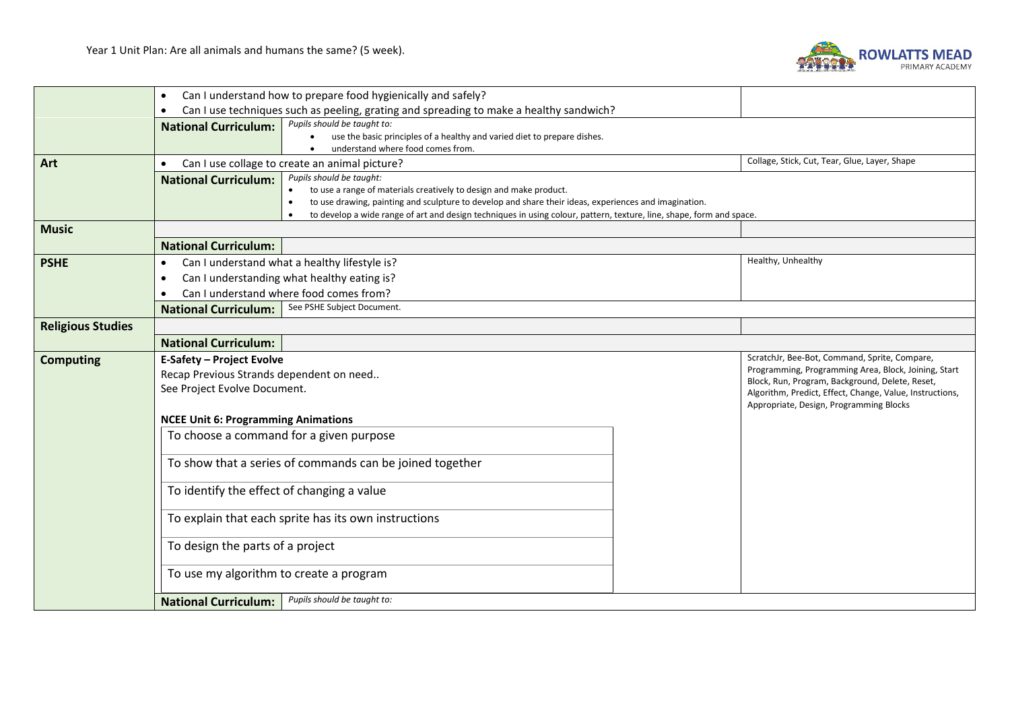

|                          | Can I understand how to prepare food hygienically and safely?<br>$\bullet$                                                                        |                                                                                                                                                                                          |  |                                                                                                         |  |  |  |
|--------------------------|---------------------------------------------------------------------------------------------------------------------------------------------------|------------------------------------------------------------------------------------------------------------------------------------------------------------------------------------------|--|---------------------------------------------------------------------------------------------------------|--|--|--|
|                          | Can I use techniques such as peeling, grating and spreading to make a healthy sandwich?<br>$\bullet$                                              |                                                                                                                                                                                          |  |                                                                                                         |  |  |  |
|                          | Pupils should be taught to:<br><b>National Curriculum:</b>                                                                                        |                                                                                                                                                                                          |  |                                                                                                         |  |  |  |
|                          | $\bullet$                                                                                                                                         | use the basic principles of a healthy and varied diet to prepare dishes.                                                                                                                 |  |                                                                                                         |  |  |  |
| Art                      | understand where food comes from.<br>Collage, Stick, Cut, Tear, Glue, Layer, Shape<br>Can I use collage to create an animal picture?<br>$\bullet$ |                                                                                                                                                                                          |  |                                                                                                         |  |  |  |
|                          | Pupils should be taught:<br><b>National Curriculum:</b>                                                                                           |                                                                                                                                                                                          |  |                                                                                                         |  |  |  |
|                          |                                                                                                                                                   | to use a range of materials creatively to design and make product.<br>to use drawing, painting and sculpture to develop and share their ideas, experiences and imagination.<br>$\bullet$ |  |                                                                                                         |  |  |  |
|                          |                                                                                                                                                   |                                                                                                                                                                                          |  |                                                                                                         |  |  |  |
|                          | to develop a wide range of art and design techniques in using colour, pattern, texture, line, shape, form and space.<br>$\bullet$                 |                                                                                                                                                                                          |  |                                                                                                         |  |  |  |
|                          | <b>Music</b>                                                                                                                                      |                                                                                                                                                                                          |  |                                                                                                         |  |  |  |
|                          | <b>National Curriculum:</b>                                                                                                                       |                                                                                                                                                                                          |  |                                                                                                         |  |  |  |
| <b>PSHE</b>              | Can I understand what a healthy lifestyle is?<br>$\bullet$                                                                                        |                                                                                                                                                                                          |  | Healthy, Unhealthy                                                                                      |  |  |  |
|                          | Can I understanding what healthy eating is?<br>٠                                                                                                  |                                                                                                                                                                                          |  |                                                                                                         |  |  |  |
|                          | Can I understand where food comes from?                                                                                                           |                                                                                                                                                                                          |  |                                                                                                         |  |  |  |
|                          | See PSHE Subject Document.<br><b>National Curriculum:</b>                                                                                         |                                                                                                                                                                                          |  |                                                                                                         |  |  |  |
| <b>Religious Studies</b> |                                                                                                                                                   |                                                                                                                                                                                          |  |                                                                                                         |  |  |  |
|                          | <b>National Curriculum:</b>                                                                                                                       |                                                                                                                                                                                          |  |                                                                                                         |  |  |  |
| <b>Computing</b>         | <b>E-Safety - Project Evolve</b>                                                                                                                  |                                                                                                                                                                                          |  | ScratchJr, Bee-Bot, Command, Sprite, Compare,                                                           |  |  |  |
|                          | Recap Previous Strands dependent on need                                                                                                          |                                                                                                                                                                                          |  | Programming, Programming Area, Block, Joining, Start<br>Block, Run, Program, Background, Delete, Reset, |  |  |  |
|                          | See Project Evolve Document.                                                                                                                      |                                                                                                                                                                                          |  | Algorithm, Predict, Effect, Change, Value, Instructions,                                                |  |  |  |
|                          | Appropriate, Design, Programming Blocks                                                                                                           |                                                                                                                                                                                          |  |                                                                                                         |  |  |  |
|                          | <b>NCEE Unit 6: Programming Animations</b>                                                                                                        |                                                                                                                                                                                          |  |                                                                                                         |  |  |  |
|                          | To choose a command for a given purpose                                                                                                           |                                                                                                                                                                                          |  |                                                                                                         |  |  |  |
|                          |                                                                                                                                                   |                                                                                                                                                                                          |  |                                                                                                         |  |  |  |
|                          | To show that a series of commands can be joined together                                                                                          |                                                                                                                                                                                          |  |                                                                                                         |  |  |  |
|                          | To identify the effect of changing a value                                                                                                        |                                                                                                                                                                                          |  |                                                                                                         |  |  |  |
|                          | To explain that each sprite has its own instructions                                                                                              |                                                                                                                                                                                          |  |                                                                                                         |  |  |  |
|                          | To design the parts of a project                                                                                                                  |                                                                                                                                                                                          |  |                                                                                                         |  |  |  |
|                          |                                                                                                                                                   |                                                                                                                                                                                          |  |                                                                                                         |  |  |  |
|                          | To use my algorithm to create a program                                                                                                           |                                                                                                                                                                                          |  |                                                                                                         |  |  |  |
|                          | Pupils should be taught to:<br><b>National Curriculum:</b>                                                                                        |                                                                                                                                                                                          |  |                                                                                                         |  |  |  |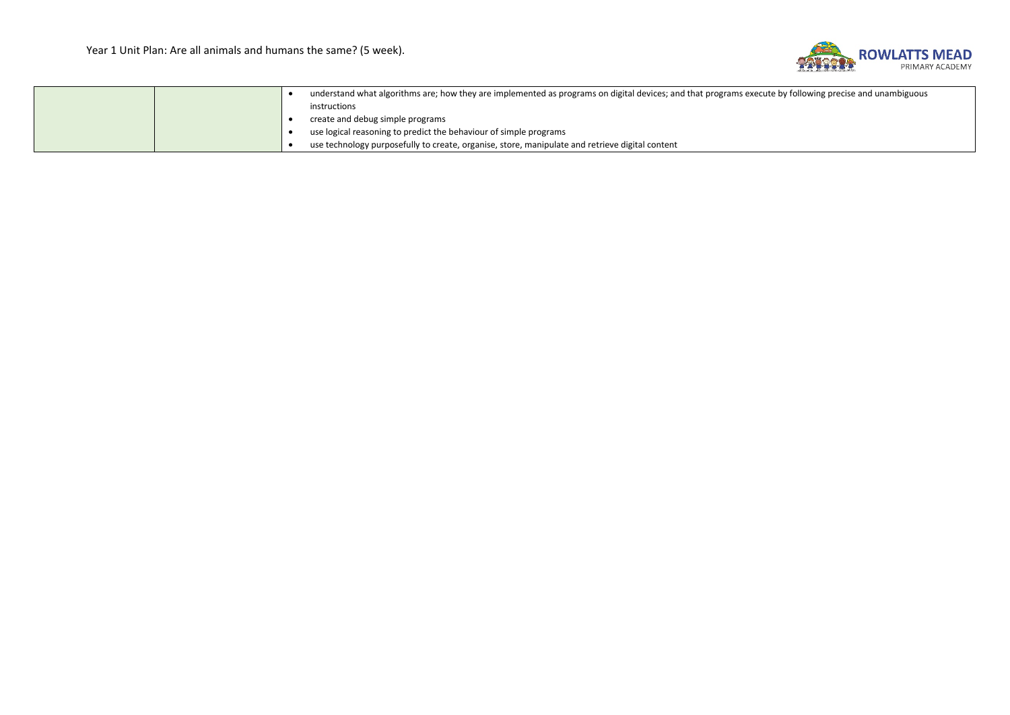

|  | understand what algorithms are; how they are implemented as programs on digital devices; and that programs execute by following precise and unambiguous |                                                                                                 |
|--|---------------------------------------------------------------------------------------------------------------------------------------------------------|-------------------------------------------------------------------------------------------------|
|  |                                                                                                                                                         | instructions                                                                                    |
|  |                                                                                                                                                         | create and debug simple programs                                                                |
|  |                                                                                                                                                         | use logical reasoning to predict the behaviour of simple programs                               |
|  |                                                                                                                                                         | use technology purposefully to create, organise, store, manipulate and retrieve digital content |